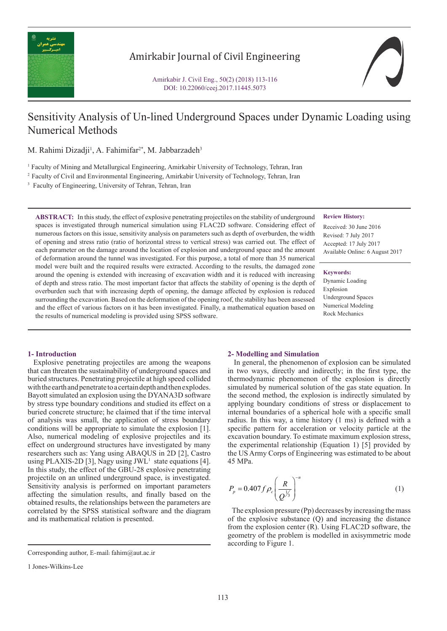

## Amirkabir Journal of Civil Engineering

# Sensitivity Analysis of Un-lined Underground Spaces under Dynamic Loading using Numerical Methods

M. Rahimi Dizadji<sup>1</sup>, A. Fahimifar<sup>2\*</sup>, M. Jabbarzadeh<sup>3</sup>

1 Faculty of Mining and Metallurgical Engineering, Amirkabir University of Technology, Tehran, Iran

2 Faculty of Civil and Environmental Engineering, Amirkabir University of Technology, Tehran, Iran

<sup>3</sup> Faculty of Engineering, University of Tehran, Tehran, Iran

**ABSTRACT:** In this study, the effect of explosive penetrating projectiles on the stability of underground spaces is investigated through numerical simulation using FLAC2D software. Considering effect of numerous factors on this issue, sensitivity analysis on parameters such as depth of overburden, the width of opening and stress ratio (ratio of horizontal stress to vertical stress) was carried out. The effect of each parameter on the damage around the location of explosion and underground space and the amount of deformation around the tunnel was investigated. For this purpose, a total of more than 35 numerical model were built and the required results were extracted. According to the results, the damaged zone around the opening is extended with increasing of excavation width and it is reduced with increasing of depth and stress ratio. The most important factor that affects the stability of opening is the depth of overburden such that with increasing depth of opening, the damage affected by explosion is reduced surrounding the excavation. Based on the deformation of the opening roof, the stability has been assessed and the effect of various factors on it has been investigated. Finally, a mathematical equation based on the results of numerical modeling is provided using SPSS software.

## **Review History:**

Received: 30 June 2016 Revised: 7 July 2017 Accepted: 17 July 2017 Available Online: 6 August 2017

#### **Keywords:**

Dynamic Loading Explosion Underground Spaces Numerical Modeling Rock Mechanics

#### **1- Introduction**

 Explosive penetrating projectiles are among the weapons that can threaten the sustainability of underground spaces and buried structures. Penetrating projectile at high speed collided with the earth and penetrate to a certain depth and then explodes. Bayott simulated an explosion using the DYANA3D software by stress type boundary conditions and studied its effect on a buried concrete structure; he claimed that if the time interval of analysis was small, the application of stress boundary conditions will be appropriate to simulate the explosion [1]. Also, numerical modeling of explosive projectiles and its effect on underground structures have investigated by many researchers such as: Yang using ABAQUS in 2D [2], Castro using PLAXIS-2D [3], Nagy using  $JWL<sup>1</sup>$  state equations [4]. In this study, the effect of the GBU-28 explosive penetrating projectile on an unlined underground space, is investigated. Sensitivity analysis is performed on important parameters affecting the simulation results, and finally based on the obtained results, the relationships between the parameters are correlated by the SPSS statistical software and the diagram and its mathematical relation is presented.

#### **2- Modelling and Simulation**

 In general, the phenomenon of explosion can be simulated in two ways, directly and indirectly; in the first type, the thermodynamic phenomenon of the explosion is directly simulated by numerical solution of the gas state equation. In the second method, the explosion is indirectly simulated by applying boundary conditions of stress or displacement to internal boundaries of a spherical hole with a specific small radius. In this way, a time history (1 ms) is defined with a specific pattern for acceleration or velocity particle at the excavation boundary. To estimate maximum explosion stress, the experimental relationship (Equation 1) [5] provided by the US Army Corps of Engineering was estimated to be about 45 MPa.

$$
P_p = 0.407 f \rho_c \left(\frac{R}{Q^{1/3}}\right)^{-n}
$$
 (1)

 The explosion pressure (Pp) decreases by increasing the mass of the explosive substance (Q) and increasing the distance from the explosion center (R). Using FLAC2D software, the geometry of the problem is modelled in axisymmetric mode according to Figure 1.

Corresponding author, E-mail: fahim@aut.ac.ir

<sup>1</sup> Jones-Wilkins-Lee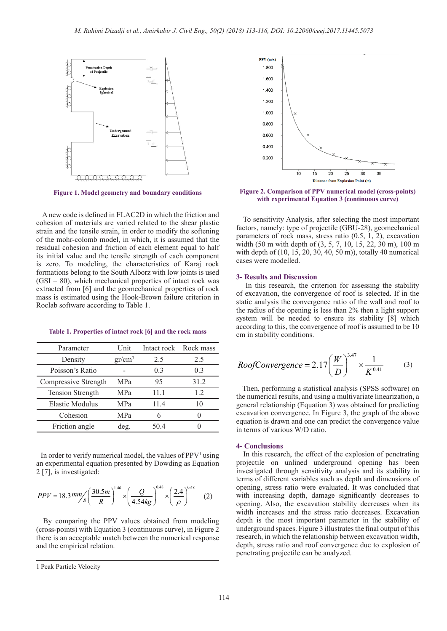

**Figure 1. Model geometry and boundary conditions**

 A new code is defined in FLAC2D in which the friction and cohesion of materials are varied related to the shear plastic strain and the tensile strain, in order to modify the softening of the mohr-colomb model, in which, it is assumed that the residual cohesion and friction of each element equal to half its initial value and the tensile strength of each component is zero. To modeling, the characteristics of Karaj rock formations belong to the South Alborz with low joints is used  $(GSI = 80)$ , which mechanical properties of intact rock was extracted from [6] and the geomechanical properties of rock mass is estimated using the Hook-Brown failure criterion in Roclab software according to Table 1.

#### **Table 1. Properties of intact rock [6] and the rock mass**

| Parameter               | Unit       | Intact rock | Rock mass |
|-------------------------|------------|-------------|-----------|
| Density                 | $gr/cm^3$  | 2.5         | 2.5       |
| Poisson's Ratio         |            | 0.3         | 0.3       |
| Compressive Strength    | <b>MPa</b> | 95          | 31.2      |
| <b>Tension Strength</b> | MPa        | 11.1        | 1.2       |
| <b>Elastic Modulus</b>  | MPa        | 11.4        | 10        |
| Cohesion                | MPa        | 6           |           |
| Friction angle          | deg.       | 50 4        |           |

In order to verify numerical model, the values of  $PPV<sup>1</sup>$  using an experimental equation presented by Dowding as Equation 2 [7], is investigated:

$$
PPV = 18.3 \, mm/s \left(\frac{30.5m}{R}\right)^{1.46} \times \left(\frac{Q}{4.54kg}\right)^{0.48} \times \left(\frac{2.4}{\rho}\right)^{0.48} \tag{2}
$$

 By comparing the PPV values obtained from modeling (cross-points) with Equation 3 (continuous curve), in Figure 2 there is an acceptable match between the numerical response and the empirical relation.



**Figure 2. Comparison of PPV numerical model (cross-points) with experimental Equation 3 (continuous curve)**

 To sensitivity Analysis, after selecting the most important factors, namely: type of projectile (GBU-28), geomechanical parameters of rock mass, stress ratio (0.5, 1, 2), excavation width (50 m with depth of (3, 5, 7, 10, 15, 22, 30 m), 100 m with depth of (10, 15, 20, 30, 40, 50 m)), totally 40 numerical cases were modelled.

#### **3- Results and Discussion**

 In this research, the criterion for assessing the stability of excavation, the convergence of roof is selected. If in the static analysis the convergence ratio of the wall and roof to the radius of the opening is less than 2% then a light support system will be needed to ensure its stability [8] which according to this, the convergence of roof is assumed to be 10 cm in stability conditions.

*RoofConvergence* = 2.17 
$$
\left(\frac{W}{D}\right)^{3.47} \times \frac{1}{K^{0.41}}
$$
 (3)

 Then, performing a statistical analysis (SPSS software) on the numerical results, and using a multivariate linearization, a general relationship (Equation 3) was obtained for predicting excavation convergence. In Figure 3, the graph of the above equation is drawn and one can predict the convergence value in terms of various W/D ratio.

## **4- Conclusions**

 In this research, the effect of the explosion of penetrating projectile on unlined underground opening has been investigated through sensitivity analysis and its stability in terms of different variables such as depth and dimensions of opening, stress ratio were evaluated. It was concluded that with increasing depth, damage significantly decreases to opening. Also, the excavation stability decreases when its width increases and the stress ratio decreases. Excavation depth is the most important parameter in the stability of underground spaces. Figure 3 illustrates the final output of this research, in which the relationship between excavation width, depth, stress ratio and roof convergence due to explosion of penetrating projectile can be analyzed.

<sup>1</sup> Peak Particle Velocity